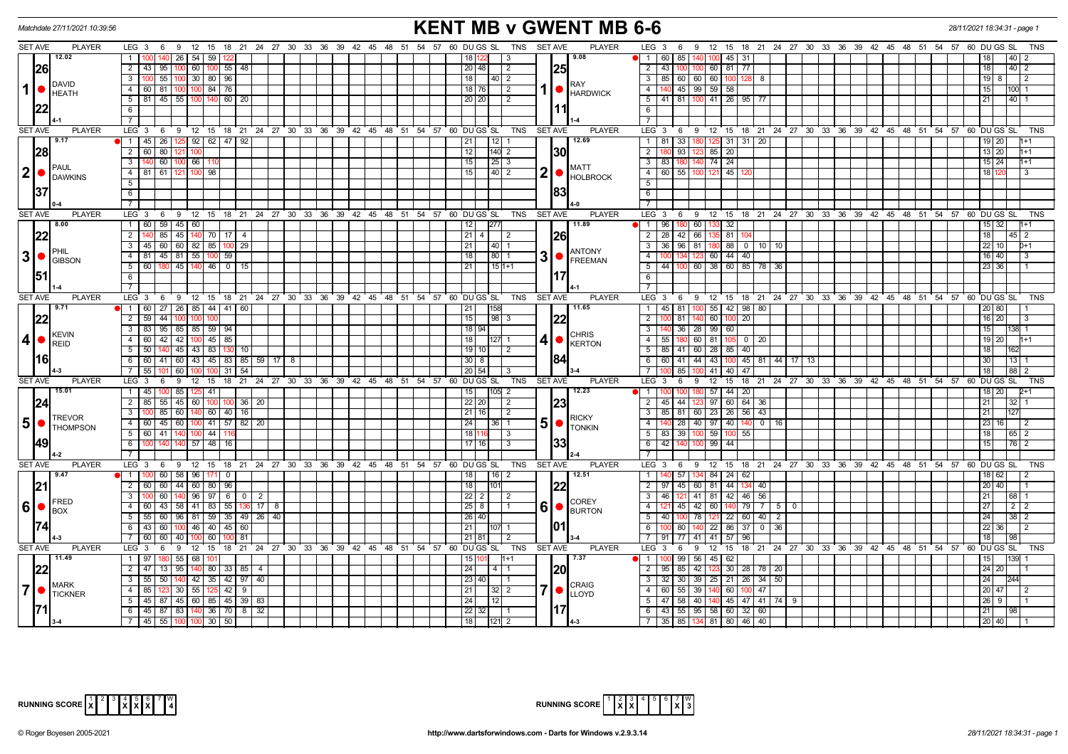| Matchdate 27/11/2021 10:39:56     |                                                                                            | <b>KENT MB v GWENT MB 6-6</b>                                         |                                                                                                                           | 28/11/2021 18:34:31 - page 1 |
|-----------------------------------|--------------------------------------------------------------------------------------------|-----------------------------------------------------------------------|---------------------------------------------------------------------------------------------------------------------------|------------------------------|
| <b>SET AVE</b><br><b>PLAYER</b>   | LEG 3 6 9 12 15 18 21 24 27 30 33 36 39 42 45 48 51 54 57 60 DUGS SL TNS SETAVE            | <b>PLAYER</b>                                                         | LEG 3 6 9 12 15 18 21 24 27 30 33 36 39 42 45 48 51 54 57 60 DUGS SL                                                      | TNS                          |
| 12.02                             | 26   54   59   122<br>$\overline{1}$<br>1001 140                                           | 19.08<br>  18   1<br>3                                                | 85 140 100 45 31<br>$1 \t 60$                                                                                             | 40                           |
| 26                                | 2 43 95 100 60 100 55 48                                                                   | 25 <br>20 48<br>2                                                     | 2 43 100 100 60 81 77                                                                                                     | 18<br> 40 2                  |
| <b>DAVID</b>                      | 3   100   55   100   30   80   96                                                          | 18<br>  40   2<br><b>RAY</b>                                          | 3   85   60   60   60   100   128   8                                                                                     | 19 8<br>l 2                  |
| $1$ $\bullet$<br><b>HEATH</b>     | 4 60 81 100 100 84 76                                                                      | 18 76<br>$\sqrt{2}$<br><b>HARDWICK</b>                                | 4   140   45   99   59   58                                                                                               | 15<br>100 1                  |
|                                   | $5$   81   45   55   100   140   60   20                                                   | 20 20<br>$\overline{2}$                                               | $5$   41   81   100   41   26   95   77                                                                                   | 21<br>$140$ 1                |
|                                   | 6                                                                                          | l11I                                                                  | 6                                                                                                                         |                              |
|                                   |                                                                                            |                                                                       | $\overline{7}$                                                                                                            |                              |
| <b>SET AVE</b><br><b>PLAYER</b>   | $LEG \ 3 \ 6$<br>9 12 15 18 21 24 27 30 33 36 39 42 45 48 51 54 57 60 DUGS SL              | <b>TNS</b><br><b>SET AVE</b><br><b>PLAYER</b>                         | $LEG \ 3$<br>6 9 12 15 18 21 24 27 30 33 36 39 42 45 48 51 54 57 60 DUGS SL                                               | <b>TNS</b>                   |
| 9.17                              | 1 45 26 125 92 62 47 92                                                                    | 12.69<br> 21 <br>$\overline{112}$                                     | 1 81 33 180 125 31 31 20                                                                                                  | 19 20 <br>$1+1$              |
| 28                                | 2   60   80<br>121   100                                                                   | 12 <br>$140$ 2<br>130                                                 | 93 123 85 20<br>$\overline{2}$                                                                                            | 13 20<br>l1+1                |
| <b>PAUL</b>                       | 3   140   60   100   66   11                                                               | 15 <br>$\sqrt{25}$ 3<br><b>MATT</b>                                   | $3$ 83 180 140 74 24                                                                                                      | $15 \mid 24 \mid$<br>$1 + 1$ |
| $ 2  \bullet  $<br><b>DAWKINS</b> | 4 81 61 121 100 98                                                                         | 2<br>15<br> 40 2<br>$\bullet$ HOLBROCK                                | 4 60 55 100 121 45 12                                                                                                     | 18 1 12<br>3                 |
|                                   | 5                                                                                          |                                                                       | 5                                                                                                                         |                              |
| 137                               | 6                                                                                          | 83                                                                    | 6                                                                                                                         |                              |
|                                   | 7                                                                                          |                                                                       | $\overline{7}$                                                                                                            |                              |
| <b>SET AVE</b><br><b>PLAYER</b>   | $LEG_3$ 6<br>$9 \t12$<br>15 18 21 24 27 30 33 36 39 42 45 48 51 54 57 60 DUGS SL           | TNS<br><b>SET AVE</b><br><b>PLAYER</b>                                | $LEG \ 3$<br>69<br>12 15 18 21 24 27 30 33 36 39 42 45 48 51 54 57                                                        | 60 DU GS SL<br><b>TNS</b>    |
| 8.00                              | 60 59 45 60<br>1                                                                           | 12<br>  11.89                                                         | 180 60<br>32<br>$1 \overline{96}$<br>133                                                                                  | $15 \mid 32$<br>11+1         |
| 22                                | $\overline{2}$<br>$140$ 85<br>45 40 70 17 4                                                | $\boxed{21}$<br><u> 26</u><br>$\sqrt{2}$                              | 2 28 42 66<br>81                                                                                                          | 18<br>  45   2               |
| PHIL                              | 3   45   60   60   82   85   100   29                                                      | 21<br> 40 1<br><b>ANTONY</b>                                          | 3 36 96 81 180 88 0 10 10                                                                                                 | $22$ 10<br>$D+1$             |
| 3 •<br><b>GIBSON</b>              | 81 45 81 55 100<br>59<br>4 I<br>45 140 46 0 15<br>5 <sup>1</sup><br>60<br>180              | 31<br>18<br> 80 1<br>FREEMAN                                          | 60 44 40<br>$\overline{4}$<br>5<br>44<br>$60 \ 38$<br>60 85 78 36                                                         | $16$   $40$<br>3             |
|                                   | 6 <sup>1</sup>                                                                             | 21<br>$15 1+1$<br>17                                                  | 6                                                                                                                         | 23 36                        |
|                                   |                                                                                            |                                                                       | $7^{-}$                                                                                                                   |                              |
| <b>SET AVE</b><br><b>PLAYER</b>   | LEG 3 6 9 12 15 18 21 24 27 30 33 36 39 42 45 48 51 54 57 60 DUGS SL                       | <b>PLAYER</b><br>TNS<br><b>SET AVE</b>                                | LEG <sub>3</sub><br>6 9 12 15 18 21 24 27 30 33 36 39 42 45 48 51 54 57 60 DUGS SL                                        | <b>TNS</b>                   |
| 9.71                              | $\bullet$   1   60   27   26   85   44   41   60                                           | 11.65<br>21<br>1158                                                   | 100 55 42 98 80<br>1 45 81                                                                                                | 20 80                        |
| 22                                | 2 59 44 100 100<br>100                                                                     | 22<br>15<br> 98 3                                                     | $\overline{2}$<br>81 140<br>60 100 20                                                                                     | $16$   20<br>-3              |
|                                   | 3   83   95<br>85 85 59 94                                                                 | 18 94                                                                 | $\overline{3}$<br>36 28 99 60                                                                                             | 15 <sup>1</sup>              |
| <b>KEVIN</b><br>$4$ $\bullet$     | 4 60 42 42 100 45 85                                                                       | <b>CHRIS</b><br> 18 <br>127 1<br>41                                   | 4 55 180 60 81 105 0 20                                                                                                   | $19$   20<br>l1+1            |
| <b>REID</b>                       | $5 \mid 50$<br>45 43 83<br>$130$ 10                                                        | <b>KERTON</b><br>19   10<br>l 2                                       | 5   85   41   60   28   85   40                                                                                           | 18 I<br>162                  |
| 116I                              | 6 6 60 41 60 43 45 83 85 59 17 8                                                           | 84<br> 30 8                                                           | 6 6 6 41 44 43 100 45 81 44 17 13                                                                                         | 30 <sub>l</sub><br> 13       |
|                                   | 55 101<br>$60$ $\degree$<br>$31 \mid 54$                                                   | 20 54                                                                 | $7 \mid 100$<br>85 100 41<br>40 47                                                                                        | 18<br>  88   2               |
| <b>SET AVE</b><br><b>PLAYER</b>   | $LEG_3$ 6<br>$9 \quad 12 \quad 15$<br>18 21 24 27 30 33 36 39 42 45 48 51                  | <b>SET AVE</b><br><b>PLAYER</b><br>54 57<br>60 DU GS SL<br><b>TNS</b> | LEG <sub>3</sub><br>6<br>$12 \quad 15$<br>18 21 24 27 30 33 36 39 42 45 48 51 54 57<br>- 9                                | 60 DUGS SL<br><b>TNS</b>     |
| 15.01                             | 85 125 41<br>1 45 100                                                                      | 12.23<br>15<br>$105$ 2                                                | 100 180 57 44 20<br>$1 \vert$<br>100                                                                                      | 18   20                      |
| 24                                | $\overline{2}$<br>85<br>55<br>45 60 100<br>$36 \mid 20$                                    | $22$ 20<br> 23<br>$\sqrt{2}$                                          | 45 44 123 97<br>$\overline{2}$<br>$60 \ 64 \ 36$                                                                          | 21<br>32                     |
| <b>TREVOR</b>                     | 85<br>60   140   60   40   16<br>$\overline{3}$                                            | 21 16<br>2<br><b>RICKY</b>                                            | 3   85   81   60   23   26   56   43                                                                                      | 21                           |
| $5$ $\bullet$<br><b>THOMPSON</b>  | 4 60 45 60 100 41 57 82 20                                                                 | 51<br>24<br>I 36 I 1<br><b>I</b> TONKIN                               | 4 140 28 40 97 40 140 0 16                                                                                                | 23 16 <br>  2                |
|                                   | 5 60 41 40 100 44 116                                                                      | 1811<br>-3                                                            | 5 83 39 100 59 100 55                                                                                                     | 18 I<br> 65 2                |
| <b>49</b>                         | $57$   48   16<br>6<br>140<br>100                                                          | 33<br>17116                                                           | $6 \overline{42}$<br>$99$ 44<br>140                                                                                       | 15<br>$\overline{76}$   2    |
|                                   |                                                                                            |                                                                       | $\overline{7}$                                                                                                            |                              |
| <b>SET AVE</b><br><b>PLAYER</b>   | 9 12 15 18 21 24 27 30 33 36 39 42 45 48 51 54 57 60 DU GS SL  TNS<br>$LEG_3$ 6            | <b>SET AVE</b><br><b>PLAYER</b>                                       | 12 15 18 21 24 27 30 33 36 39 42 45 48 51 54 57<br>LEG <sup>3</sup><br>6 <sup>9</sup>                                     | 60 DU GS SL<br>TNS           |
| 9.47                              | 110060<br>$58$   96   171<br>$\overline{\phantom{0}}$                                      | 18<br>12.51<br>$16$ 2                                                 | 57 134 84 24 62<br>$\overline{1}$                                                                                         | 18 62<br>2                   |
| 21                                | 2   60   60<br>44 60 80 96                                                                 | 22 <br>18<br>l101l                                                    | $2 \overline{97}$<br>45 60 81<br>44 134<br>40                                                                             | 20140                        |
| <b>FRED</b>                       | 3 100 60 140 96 97 6 0 2                                                                   | $\sqrt{22}$ 2<br>2<br><b>COREY</b>                                    | 3 46 121 41 81 42 46 56                                                                                                   | 21<br> 68  1                 |
| 6 • <br><b>BOX</b>                | 4<br>60 43 58 41 83 55 136 17                                                              | 6<br>$25 \mid 8$<br>$\bullet$ BURTON                                  | 45 42 60 140 79 7 5<br>$\overline{4}$                                                                                     | 27<br>2 2                    |
|                                   | $5 \mid 55 \mid 60 \mid 96 \mid 81 \mid 59 \mid 35 \mid 49 \mid 26$<br>40                  | 26 40<br>101 I                                                        | 5<br>40 <sup>1</sup><br>100 78<br>$121$ 22 60 40<br>$\overline{2}$                                                        | 24<br>38 2                   |
|                                   | $6 \mid 43 \mid 60$<br>$100$ 46 40<br>45<br>60                                             | 21                                                                    | 6<br>22<br>86 37<br>$0 \mid 36$<br>80 140                                                                                 | $22 \mid 36$<br>l 2          |
| <b>SET AVE</b><br><b>PLAYER</b>   | 7 60 60<br>60<br>40 I<br>81<br>9 12 15 18 21 24 27 30 33 36 39 42 45 48 51 54 57 60 DUGSSL | $21$ 81<br><b>SET AVE</b><br><b>PLAYER</b>                            | $77$ 41<br>41<br>57<br>$7\phantom{0}$<br>91<br>96<br>LEG 3 6 9 12 15 18 21 24 27 30 33 36 39 42 45 48 51 54 57 60 DUGS SL | 18<br><b>TNS</b>             |
| 11.49                             | $LEG_3$ 6<br>1   97<br>55 68                                                               | <b>TNS</b><br>17.37<br>15 1<br>l1+1                                   | $\blacksquare$ 1 $\blacksquare$<br>99<br>56<br>45<br>62                                                                   | 15                           |
|                                   | $2 \mid 47$<br>95 140<br>80 33 85 4<br>13                                                  | 20<br>24                                                              | $\overline{2}$<br>42<br>$30 \mid 28$<br>78 20<br>95<br>85                                                                 | $24$ 20                      |
| 22                                | 140 42 35<br>42 97 40<br>3 <sup>1</sup><br>$55 \mid 50$                                    | 23 40                                                                 | $34$ 50<br>$\overline{\mathbf{3}}$<br>32<br>30 39<br>25<br>$21 \mid 26 \mid$                                              | 24                           |
| <b>MARK</b><br>7 •                | $30 \mid 55 \mid 125 \mid 42 \mid 9$<br>4 I<br>85                                          | <b>CRAIG</b><br>21<br>$32 \mid 2$                                     | 4 60 55 39<br>47<br>140<br>60 100                                                                                         | 20  47 <br>l 2               |
| <b>TICKNER</b>                    | $45 \mid 87$<br>45 60 85 45 39 83<br>5                                                     | <b>LLOYD</b><br>24                                                    | 47 58 40<br>5 <sub>1</sub><br>45 47 41 74 9<br>140                                                                        | $26$   9                     |
|                                   | 45   87   83   140   36   70   8   32<br>- 6 I                                             | 17 <br>22 32                                                          | 6 43 55 95 58 60 32<br>60                                                                                                 | 21<br>  98                   |
|                                   | 7   45   55   100   100   30   50                                                          | 18 <br>$ 121 $ 2                                                      | 7 35 85 134 81 80 46 40                                                                                                   | 20 40                        |

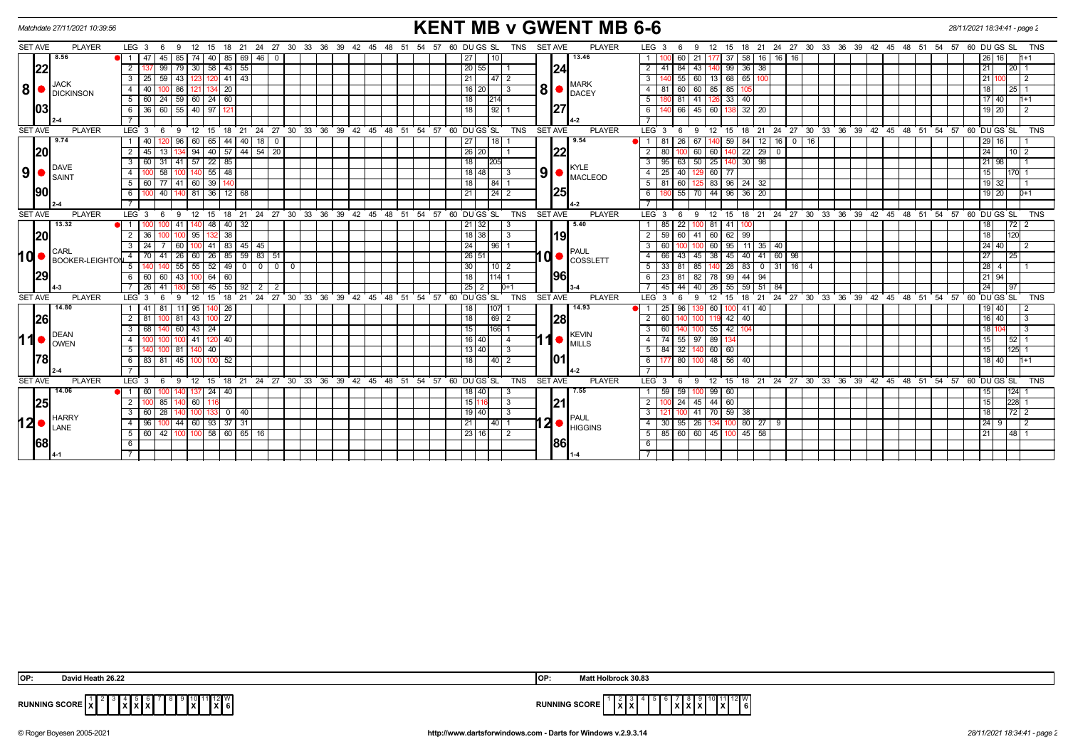| <b>KENT MB v GWENT MB 6-6</b><br>Matchdate 27/11/2021 10:39:56<br>28/11/2021 18:34:41 - page 2 |                          |                                                                                     |                                                                                                        |                                                                                                                        |            |  |  |  |
|------------------------------------------------------------------------------------------------|--------------------------|-------------------------------------------------------------------------------------|--------------------------------------------------------------------------------------------------------|------------------------------------------------------------------------------------------------------------------------|------------|--|--|--|
| <b>SET AVE</b>                                                                                 | <b>PLAYER</b>            | $LEG_36$<br>15<br>9<br>12                                                           | 18 21 24 27 30 33 36 39 42 45 48 51 54 57 60 DU GS SL<br><b>TNS</b><br><b>SET AVE</b><br><b>PLAYER</b> | LEG <sub>3</sub><br>12 15 18 21 24 27 30 33 36 39 42 45 48 51 54 57 60 DUGS SL<br>9<br>-6                              | <b>TNS</b> |  |  |  |
|                                                                                                | 8.56                     | $69$   46  <br>45<br>40<br>85<br>85<br>74<br>$\overline{\mathbf{0}}$                | 13.46<br>27<br>10                                                                                      | 58 16 16<br>16<br>21<br>16 I<br>26 I<br>60                                                                             |            |  |  |  |
| 22                                                                                             |                          | 99<br>58<br>43<br>55<br>$\overline{2}$                                              | 24 <br>20 55                                                                                           | 36<br>$\overline{2}$<br>43<br>99<br>38<br>l 20 l<br>21                                                                 |            |  |  |  |
|                                                                                                |                          | 59<br>$41 \mid 43$<br>43  <br>3<br>120                                              | 21<br> 47 2                                                                                            | 13 68 65<br>60<br>3<br>55                                                                                              |            |  |  |  |
| 8 <sup>1</sup>                                                                                 | JACK<br><b>DICKINSON</b> | 20                                                                                  | MARK<br>81<br>$16$   20<br>$\blacksquare$ DACEY                                                        | $\overline{4}$<br>60<br>85<br>18<br>  25  <br>85                                                                       |            |  |  |  |
|                                                                                                |                          | $59$ 60<br>$24 \mid 60 \mid$<br>5<br>24                                             | 18<br>214                                                                                              | 5<br>40<br>41<br>33 <sup>1</sup><br>17 40 <br>D 81.                                                                    |            |  |  |  |
| 03                                                                                             |                          | 60<br>55   40  <br>97                                                               | 27 <br>18<br>$92 \mid$                                                                                 | $32 \mid 20$<br>6<br>45<br>66<br>60<br>19   20                                                                         |            |  |  |  |
|                                                                                                |                          |                                                                                     |                                                                                                        |                                                                                                                        |            |  |  |  |
| <b>SET AVE</b>                                                                                 | <b>PLAYER</b>            | 21 24 27 30 33 36 39 42 45 48 51<br>$LEG \ 3$<br>- 6<br>-9<br>12<br>15<br>18        | <b>PLAYER</b><br>54<br>$57.60$ DUGS SL<br><b>TNS</b><br><b>SET AVE</b>                                 | 18  21  24  27  30  33  36  39  42  45  48  51  54  57  60  DUGS SL<br>$LEG \ 3$<br>$^{\circ}$ 12<br>- 6<br>-9<br>- 15 | TNS        |  |  |  |
|                                                                                                | 9.74                     | 96<br>60   65<br>44 40 18<br>$\overline{\mathbf{0}}$<br>40                          | 9.54<br>27<br>$\sqrt{18}$                                                                              | 84 12 16 0 16<br>$\overline{1}$<br>81<br>67<br>59<br>29 16 <br>26                                                      |            |  |  |  |
| 20                                                                                             |                          | 40 57 44 54 20<br>94 I<br>13                                                        | 22 <br>26 20                                                                                           | $ 40 $ 22 29 0<br>$\overline{2}$<br>60<br>$\overline{24}$<br>60 1<br>1012                                              |            |  |  |  |
|                                                                                                |                          | $57$   22  <br>85<br>$\mathbf{3}$<br>31                                             | 18                                                                                                     | 50<br>$30 \mid 98$<br>25 <sup>1</sup><br>$3^{\circ}$<br>95<br>  63<br>21 98                                            |            |  |  |  |
| 9 <sup>1</sup>                                                                                 | <b>DAVE</b><br>SAINT     | $140$ 55 48<br>58<br>-4                                                             | KYLE<br>9 <sup>1</sup><br>$18$   48<br>3<br>MACLEOD                                                    | $25 \mid 40$<br>60 77<br>$\overline{4}$<br>15<br>170 1                                                                 |            |  |  |  |
|                                                                                                |                          | 39<br>77<br>- 5<br>60                                                               | 18<br>84                                                                                               | 5<br>81<br>83 96<br>$24 \mid 32$<br>60<br>$19$ 32                                                                      |            |  |  |  |
| 190                                                                                            |                          | 40<br>140 81 36 12 68<br>- 6                                                        | 25 <br>21<br>$\sqrt{24}$ 2                                                                             | 180 55 70 44 96 36 20<br>6<br>$119$ 20<br>$D+1$                                                                        |            |  |  |  |
|                                                                                                |                          |                                                                                     |                                                                                                        | $\overline{7}$                                                                                                         |            |  |  |  |
| SET AVE                                                                                        | <b>PLAYER</b>            | LEG <sup>3</sup><br>12<br>15<br>9                                                   | 18 21 24 27 30 33 36 39 42 45 48 51 54 57 60 DUGS SL<br>SET AVE<br><b>TNS</b><br><b>PLAYER</b>         | 18 21 24 27 30 33 36 39 42 45 48 51 54 57 60 DUGS SL<br>LEG <sub>3</sub><br>$12 \quad 15$<br>- 6<br>9                  | TNS        |  |  |  |
|                                                                                                | 13.32                    | $40 \mid 32$<br>48                                                                  | 5.40<br>$21 \overline{32}$<br>3                                                                        | 22<br>81<br>41<br>18<br> 72 2                                                                                          |            |  |  |  |
| 20                                                                                             |                          | 38<br>2<br>36<br>95                                                                 | 191<br>$18$ 38<br>3                                                                                    | $60$ 62 99<br>$\overline{2}$<br>59 60<br>41<br>18<br>1120                                                              |            |  |  |  |
|                                                                                                | <b>CARL</b>              | 83 45<br>45<br>41                                                                   | 24<br>96                                                                                               | $\overline{3}$<br>60<br>11 35 40<br>24 40<br>60<br>95                                                                  |            |  |  |  |
| <b>hd•</b>                                                                                     | <b>BOOKER-LEIGHTON</b>   | 85   59   83   51<br>26<br><b>70</b><br>41<br>26<br>60<br>$\overline{4}$            | PAUL<br>$10$ $\bullet$ $ _{\text{COSSETT}}$<br>26 51                                                   | 40<br>98<br>$\overline{4}$<br>45<br>38<br>41<br>60<br>27<br>66<br>43<br>45                                             |            |  |  |  |
|                                                                                                |                          | 52<br>5<br>55<br>55<br>49 0 0 0<br>$0$   0                                          | 30<br>10 <sup>2</sup>                                                                                  | 83 0 31 16 4<br>5<br>33 <sup>1</sup><br>85<br>0 <sup>28</sup><br> 28 4<br>l 81                                         |            |  |  |  |
| 29                                                                                             |                          | 64<br>60<br>- 6<br>60<br>60<br>43                                                   | <b>1961</b><br>18<br>114                                                                               | 82<br>44 94<br>6<br>23<br>99<br>$21$ 94<br>78<br>l 81                                                                  |            |  |  |  |
|                                                                                                |                          | 45 <br>$55 \mid 92 \mid 2$<br>l 58 l<br>26<br>41<br>2                               | 25 <br>2<br>$D+1$                                                                                      | 40   26   55   59   51   84<br>45 44<br>24<br><b>197</b>                                                               |            |  |  |  |
| <b>SET AVE</b>                                                                                 | <b>PLAYER</b>            | $24$ 27 30 33<br>$LEG_3$<br>15<br>21<br>12<br>18<br>-6                              | <b>TNS</b><br><b>SET AVE</b><br>36 39 42 45 48 51<br>54<br>57 60 DU GS SL<br><b>PLAYER</b>             | 18 21 24 27 30 33 36 39 42 45 48 51 54 57<br>LEG <sub>3</sub><br>60 DU GS SL<br>12<br>9<br>15<br>- 6                   | <b>TNS</b> |  |  |  |
|                                                                                                | 14.80                    | 81<br>$11$ 95<br>140 26<br>41                                                       | 14.93<br>107<br>18                                                                                     | $25 \mid 96$<br>$41 \overline{40}$<br>60<br>$\overline{1}$<br>19 40                                                    |            |  |  |  |
|                                                                                                | 26                       | 27<br>43<br>81<br>100                                                               | 28 <br>18<br>69<br>$\overline{2}$                                                                      | 40<br>$\overline{2}$<br>60<br>16 40<br>119 42<br>100                                                                   |            |  |  |  |
|                                                                                                | <b>DEAN</b>              | $\mathbf{3}$<br>68<br>60 43 24                                                      | 15<br>1661                                                                                             | $\overline{3}$<br>$55 \mid 42 \mid$<br>60 140<br>100 I<br>104<br>18   1                                                |            |  |  |  |
| 11                                                                                             | OWEN                     | 40                                                                                  | $11$ $\bullet$ $\frac{\text{KEVIN}}{\text{MILLS}}$<br>16 40                                            | 4 I<br>$\overline{74}$ 55<br>97 89<br>15 <sub>l</sub><br>l 52 I 1                                                      |            |  |  |  |
|                                                                                                |                          | 40<br>5<br>100 81                                                                   | 13 40 <br>$\mathcal{R}$                                                                                | 5<br>84 32<br>140 60 60<br>l125l 1<br>15                                                                               |            |  |  |  |
| 78                                                                                             |                          | l 83 l<br>81<br>45  <br>100 <sub>l</sub><br>52<br>-6                                | 101<br>18<br>$40$   2                                                                                  | 48 56<br>6<br>780<br>40<br>18 40 <br>100                                                                               |            |  |  |  |
|                                                                                                |                          |                                                                                     |                                                                                                        |                                                                                                                        |            |  |  |  |
| <b>SET AVE</b>                                                                                 | <b>PLAYER</b>            | $LEG \ 3$<br>$\overline{1}2$<br>15<br>18 21 24 27 30 33 36 39 42 45 48<br>-9<br>- 6 | <b>TNS</b><br><b>SET AVE</b><br><b>PLAYER</b><br>54<br>$5760$ DU GS SL<br>51                           | $LEG \ 3$<br>12 15 18 21 24 27 30 33 36 39 42 45 48 51 54 57 60 DUGS SL<br>-9<br>- 6                                   | <b>TNS</b> |  |  |  |
|                                                                                                | 14.06                    | 24<br>40                                                                            | 7.55<br>  40                                                                                           | 124 <br>$\mathbf{1}$<br>59<br>59<br>99 60<br>15                                                                        |            |  |  |  |
| 25                                                                                             | <b>HARRY</b>             | $\overline{2}$<br>85<br>60 I<br>116                                                 | 21 <br>15 116<br>3                                                                                     | 45 44 60<br>$ 228 $ 1<br>$\overline{2}$<br>$J$ 24 $\cdot$<br>15                                                        |            |  |  |  |
| 12                                                                                             |                          | -3<br>28<br>40<br>- 0                                                               | $19$ 40<br>-3<br>PAUL                                                                                  | 59<br>38<br>3<br>41<br>  72   2<br>70<br>18                                                                            |            |  |  |  |
|                                                                                                | LANE                     | 44 60 93 37 31<br>4<br>96                                                           | 21<br>$\vert$ 40 $\vert$ 1                                                                             | $80 \ 27 \ 9$<br>$\overline{4}$<br>26<br>30 95<br>24 I 9                                                               |            |  |  |  |
|                                                                                                |                          | 58 60 65 16<br>42                                                                   | 23 16 <br>2                                                                                            | 60 45 1<br>$45 \ 58$<br>$-5$<br>85 60<br>l 48 I 1<br>211                                                               |            |  |  |  |
| <b>68</b>                                                                                      |                          |                                                                                     | 1861                                                                                                   | 6                                                                                                                      |            |  |  |  |
|                                                                                                |                          |                                                                                     |                                                                                                        |                                                                                                                        |            |  |  |  |

| IOP: | David Heath 26.22                                       | <b>COL</b><br>חשו | Matt Holbrock 30.83                                                               |
|------|---------------------------------------------------------|-------------------|-----------------------------------------------------------------------------------|
|      | <b>RUNNING SCORE   X</b><br>.<br>.<br>.<br>IXI 6<br>. . |                   | 2 W<br>IxIxl<br><b>RUNNING SCORE</b><br>1XI<br><b>I</b> 6<br>.<br><b>XXX</b><br>. |